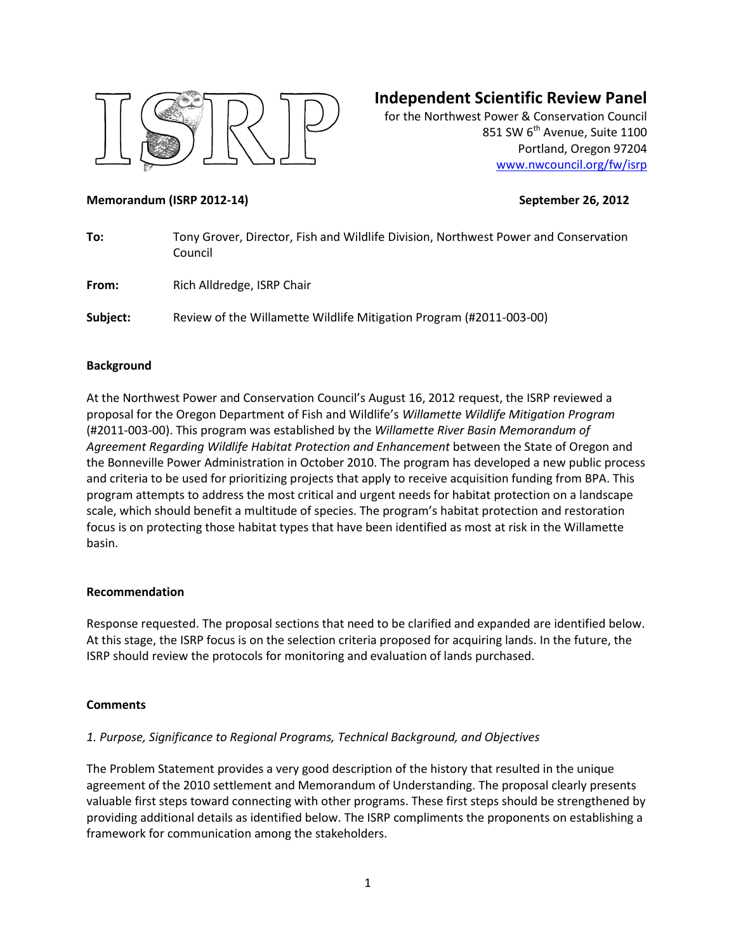

# **Independent Scientific Review Panel**

for the Northwest Power & Conservation Council 851 SW 6<sup>th</sup> Avenue, Suite 1100 Portland, Oregon 97204 [www.nwcouncil.org/fw/isrp](http://www.nwcouncil.org/fw/isrp)

#### **Memorandum (ISRP 2012-14) September 26, 2012**

| To:      | Tony Grover, Director, Fish and Wildlife Division, Northwest Power and Conservation<br>Council |
|----------|------------------------------------------------------------------------------------------------|
| From:    | Rich Alldredge, ISRP Chair                                                                     |
| Subject: | Review of the Willamette Wildlife Mitigation Program (#2011-003-00)                            |

### **Background**

At the Northwest Power and Conservation Council's August 16, 2012 request, the ISRP reviewed a proposal for the Oregon Department of Fish and Wildlife's *Willamette Wildlife Mitigation Program*  (#2011-003-00). This program was established by the *Willamette River Basin Memorandum of Agreement Regarding Wildlife Habitat Protection and Enhancement* between the State of Oregon and the Bonneville Power Administration in October 2010. The program has developed a new public process and criteria to be used for prioritizing projects that apply to receive acquisition funding from BPA. This program attempts to address the most critical and urgent needs for habitat protection on a landscape scale, which should benefit a multitude of species. The program's habitat protection and restoration focus is on protecting those habitat types that have been identified as most at risk in the Willamette basin.

### **Recommendation**

Response requested. The proposal sections that need to be clarified and expanded are identified below. At this stage, the ISRP focus is on the selection criteria proposed for acquiring lands. In the future, the ISRP should review the protocols for monitoring and evaluation of lands purchased.

### **Comments**

### *1. Purpose, Significance to Regional Programs, Technical Background, and Objectives*

The Problem Statement provides a very good description of the history that resulted in the unique agreement of the 2010 settlement and Memorandum of Understanding. The proposal clearly presents valuable first steps toward connecting with other programs. These first steps should be strengthened by providing additional details as identified below. The ISRP compliments the proponents on establishing a framework for communication among the stakeholders.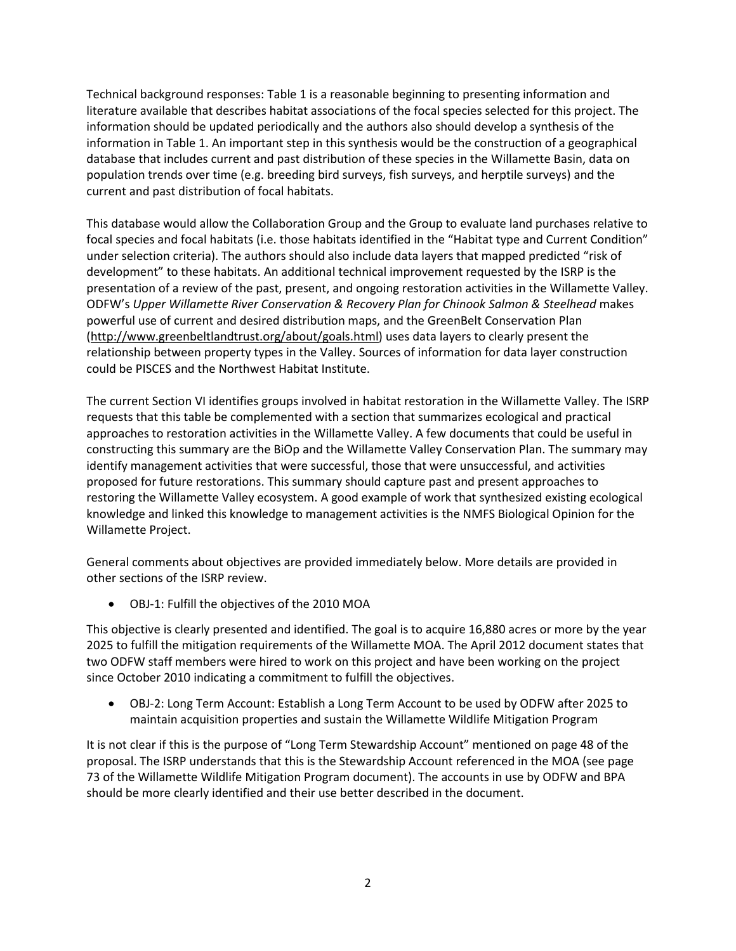Technical background responses: Table 1 is a reasonable beginning to presenting information and literature available that describes habitat associations of the focal species selected for this project. The information should be updated periodically and the authors also should develop a synthesis of the information in Table 1. An important step in this synthesis would be the construction of a geographical database that includes current and past distribution of these species in the Willamette Basin, data on population trends over time (e.g. breeding bird surveys, fish surveys, and herptile surveys) and the current and past distribution of focal habitats.

This database would allow the Collaboration Group and the Group to evaluate land purchases relative to focal species and focal habitats (i.e. those habitats identified in the "Habitat type and Current Condition" under selection criteria). The authors should also include data layers that mapped predicted "risk of development" to these habitats. An additional technical improvement requested by the ISRP is the presentation of a review of the past, present, and ongoing restoration activities in the Willamette Valley. ODFW's *Upper Willamette River Conservation & Recovery Plan for Chinook Salmon & Steelhead* makes powerful use of current and desired distribution maps, and the GreenBelt Conservation Plan [\(http://www.greenbeltlandtrust.org/about/goals.html\)](http://www.greenbeltlandtrust.org/about/goals.html) uses data layers to clearly present the relationship between property types in the Valley. Sources of information for data layer construction could be PISCES and the Northwest Habitat Institute.

The current Section VI identifies groups involved in habitat restoration in the Willamette Valley. The ISRP requests that this table be complemented with a section that summarizes ecological and practical approaches to restoration activities in the Willamette Valley. A few documents that could be useful in constructing this summary are the BiOp and the Willamette Valley Conservation Plan. The summary may identify management activities that were successful, those that were unsuccessful, and activities proposed for future restorations. This summary should capture past and present approaches to restoring the Willamette Valley ecosystem. A good example of work that synthesized existing ecological knowledge and linked this knowledge to management activities is the NMFS Biological Opinion for the Willamette Project.

General comments about objectives are provided immediately below. More details are provided in other sections of the ISRP review.

OBJ-1: Fulfill the objectives of the 2010 MOA

This objective is clearly presented and identified. The goal is to acquire 16,880 acres or more by the year 2025 to fulfill the mitigation requirements of the Willamette MOA. The April 2012 document states that two ODFW staff members were hired to work on this project and have been working on the project since October 2010 indicating a commitment to fulfill the objectives.

 OBJ-2: Long Term Account: Establish a Long Term Account to be used by ODFW after 2025 to maintain acquisition properties and sustain the Willamette Wildlife Mitigation Program

It is not clear if this is the purpose of "Long Term Stewardship Account" mentioned on page 48 of the proposal. The ISRP understands that this is the Stewardship Account referenced in the MOA (see page 73 of the Willamette Wildlife Mitigation Program document). The accounts in use by ODFW and BPA should be more clearly identified and their use better described in the document.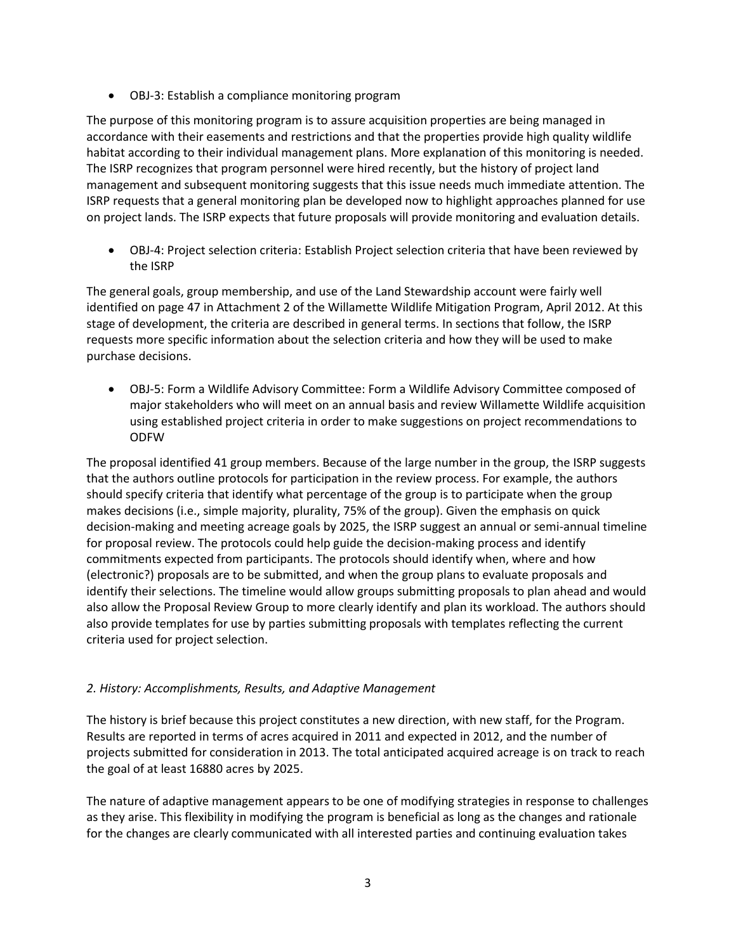OBJ-3: Establish a compliance monitoring program

The purpose of this monitoring program is to assure acquisition properties are being managed in accordance with their easements and restrictions and that the properties provide high quality wildlife habitat according to their individual management plans. More explanation of this monitoring is needed. The ISRP recognizes that program personnel were hired recently, but the history of project land management and subsequent monitoring suggests that this issue needs much immediate attention. The ISRP requests that a general monitoring plan be developed now to highlight approaches planned for use on project lands. The ISRP expects that future proposals will provide monitoring and evaluation details.

 OBJ-4: Project selection criteria: Establish Project selection criteria that have been reviewed by the ISRP

The general goals, group membership, and use of the Land Stewardship account were fairly well identified on page 47 in Attachment 2 of the Willamette Wildlife Mitigation Program, April 2012. At this stage of development, the criteria are described in general terms. In sections that follow, the ISRP requests more specific information about the selection criteria and how they will be used to make purchase decisions.

 OBJ-5: Form a Wildlife Advisory Committee: Form a Wildlife Advisory Committee composed of major stakeholders who will meet on an annual basis and review Willamette Wildlife acquisition using established project criteria in order to make suggestions on project recommendations to ODFW

The proposal identified 41 group members. Because of the large number in the group, the ISRP suggests that the authors outline protocols for participation in the review process. For example, the authors should specify criteria that identify what percentage of the group is to participate when the group makes decisions (i.e., simple majority, plurality, 75% of the group). Given the emphasis on quick decision-making and meeting acreage goals by 2025, the ISRP suggest an annual or semi-annual timeline for proposal review. The protocols could help guide the decision-making process and identify commitments expected from participants. The protocols should identify when, where and how (electronic?) proposals are to be submitted, and when the group plans to evaluate proposals and identify their selections. The timeline would allow groups submitting proposals to plan ahead and would also allow the Proposal Review Group to more clearly identify and plan its workload. The authors should also provide templates for use by parties submitting proposals with templates reflecting the current criteria used for project selection.

### *2. History: Accomplishments, Results, and Adaptive Management*

The history is brief because this project constitutes a new direction, with new staff, for the Program. Results are reported in terms of acres acquired in 2011 and expected in 2012, and the number of projects submitted for consideration in 2013. The total anticipated acquired acreage is on track to reach the goal of at least 16880 acres by 2025.

The nature of adaptive management appears to be one of modifying strategies in response to challenges as they arise. This flexibility in modifying the program is beneficial as long as the changes and rationale for the changes are clearly communicated with all interested parties and continuing evaluation takes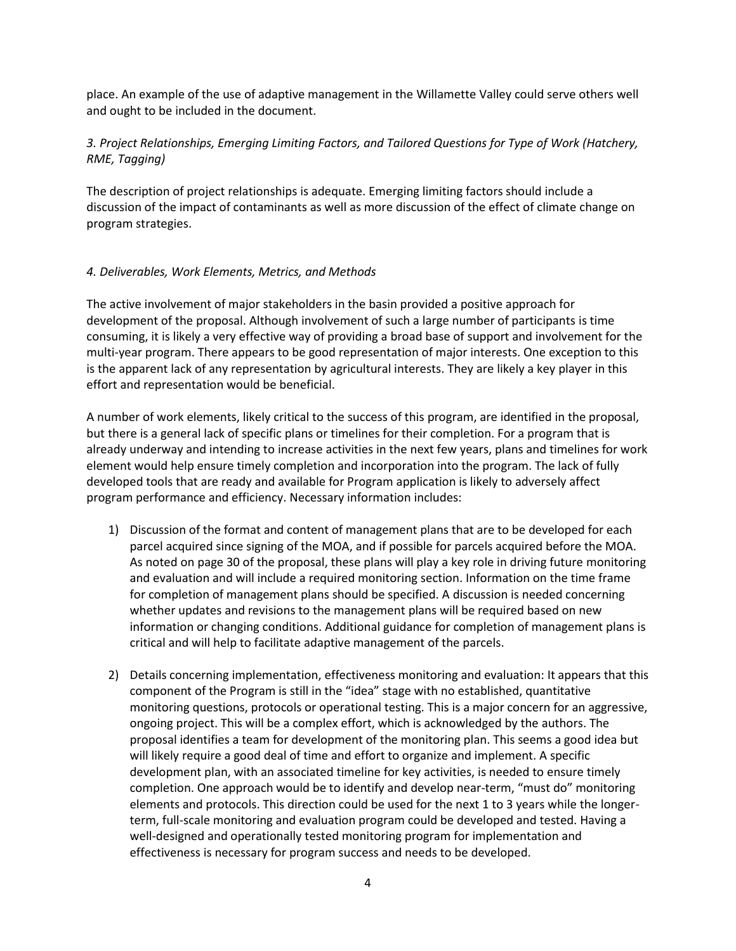place. An example of the use of adaptive management in the Willamette Valley could serve others well and ought to be included in the document.

## *3. Project Relationships, Emerging Limiting Factors, and Tailored Questions for Type of Work (Hatchery, RME, Tagging)*

The description of project relationships is adequate. Emerging limiting factors should include a discussion of the impact of contaminants as well as more discussion of the effect of climate change on program strategies.

### *4. Deliverables, Work Elements, Metrics, and Methods*

The active involvement of major stakeholders in the basin provided a positive approach for development of the proposal. Although involvement of such a large number of participants is time consuming, it is likely a very effective way of providing a broad base of support and involvement for the multi-year program. There appears to be good representation of major interests. One exception to this is the apparent lack of any representation by agricultural interests. They are likely a key player in this effort and representation would be beneficial.

A number of work elements, likely critical to the success of this program, are identified in the proposal, but there is a general lack of specific plans or timelines for their completion. For a program that is already underway and intending to increase activities in the next few years, plans and timelines for work element would help ensure timely completion and incorporation into the program. The lack of fully developed tools that are ready and available for Program application is likely to adversely affect program performance and efficiency. Necessary information includes:

- 1) Discussion of the format and content of management plans that are to be developed for each parcel acquired since signing of the MOA, and if possible for parcels acquired before the MOA. As noted on page 30 of the proposal, these plans will play a key role in driving future monitoring and evaluation and will include a required monitoring section. Information on the time frame for completion of management plans should be specified. A discussion is needed concerning whether updates and revisions to the management plans will be required based on new information or changing conditions. Additional guidance for completion of management plans is critical and will help to facilitate adaptive management of the parcels.
- 2) Details concerning implementation, effectiveness monitoring and evaluation: It appears that this component of the Program is still in the "idea" stage with no established, quantitative monitoring questions, protocols or operational testing. This is a major concern for an aggressive, ongoing project. This will be a complex effort, which is acknowledged by the authors. The proposal identifies a team for development of the monitoring plan. This seems a good idea but will likely require a good deal of time and effort to organize and implement. A specific development plan, with an associated timeline for key activities, is needed to ensure timely completion. One approach would be to identify and develop near-term, "must do" monitoring elements and protocols. This direction could be used for the next 1 to 3 years while the longerterm, full-scale monitoring and evaluation program could be developed and tested. Having a well-designed and operationally tested monitoring program for implementation and effectiveness is necessary for program success and needs to be developed.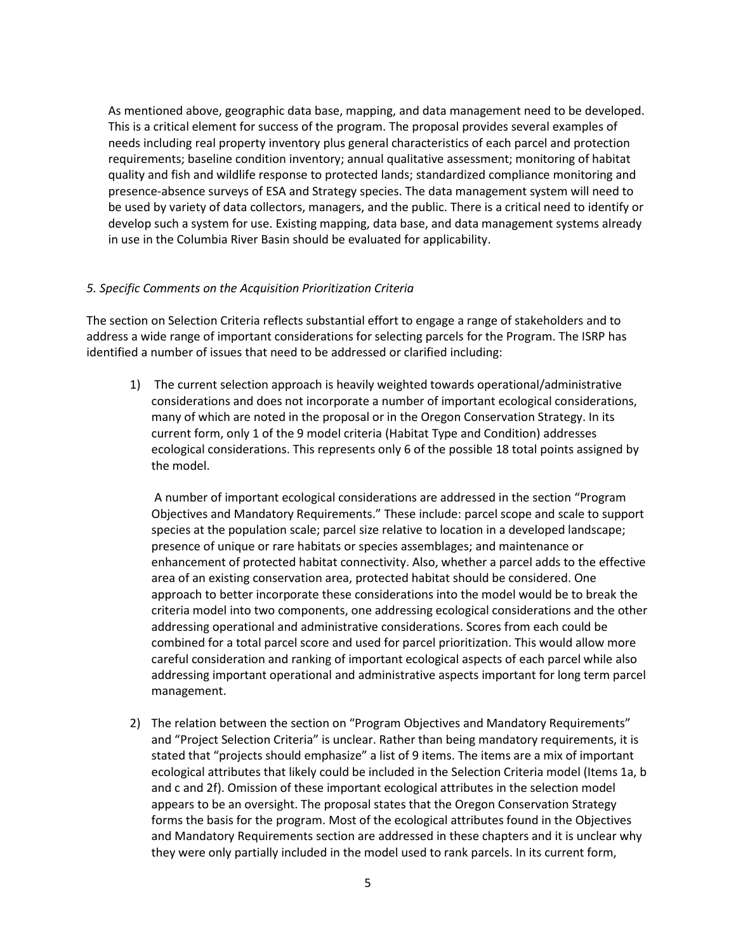As mentioned above, geographic data base, mapping, and data management need to be developed. This is a critical element for success of the program. The proposal provides several examples of needs including real property inventory plus general characteristics of each parcel and protection requirements; baseline condition inventory; annual qualitative assessment; monitoring of habitat quality and fish and wildlife response to protected lands; standardized compliance monitoring and presence-absence surveys of ESA and Strategy species. The data management system will need to be used by variety of data collectors, managers, and the public. There is a critical need to identify or develop such a system for use. Existing mapping, data base, and data management systems already in use in the Columbia River Basin should be evaluated for applicability.

#### *5. Specific Comments on the Acquisition Prioritization Criteria*

The section on Selection Criteria reflects substantial effort to engage a range of stakeholders and to address a wide range of important considerations for selecting parcels for the Program. The ISRP has identified a number of issues that need to be addressed or clarified including:

1) The current selection approach is heavily weighted towards operational/administrative considerations and does not incorporate a number of important ecological considerations, many of which are noted in the proposal or in the Oregon Conservation Strategy. In its current form, only 1 of the 9 model criteria (Habitat Type and Condition) addresses ecological considerations. This represents only 6 of the possible 18 total points assigned by the model.

A number of important ecological considerations are addressed in the section "Program Objectives and Mandatory Requirements." These include: parcel scope and scale to support species at the population scale; parcel size relative to location in a developed landscape; presence of unique or rare habitats or species assemblages; and maintenance or enhancement of protected habitat connectivity. Also, whether a parcel adds to the effective area of an existing conservation area, protected habitat should be considered. One approach to better incorporate these considerations into the model would be to break the criteria model into two components, one addressing ecological considerations and the other addressing operational and administrative considerations. Scores from each could be combined for a total parcel score and used for parcel prioritization. This would allow more careful consideration and ranking of important ecological aspects of each parcel while also addressing important operational and administrative aspects important for long term parcel management.

2) The relation between the section on "Program Objectives and Mandatory Requirements" and "Project Selection Criteria" is unclear. Rather than being mandatory requirements, it is stated that "projects should emphasize" a list of 9 items. The items are a mix of important ecological attributes that likely could be included in the Selection Criteria model (Items 1a, b and c and 2f). Omission of these important ecological attributes in the selection model appears to be an oversight. The proposal states that the Oregon Conservation Strategy forms the basis for the program. Most of the ecological attributes found in the Objectives and Mandatory Requirements section are addressed in these chapters and it is unclear why they were only partially included in the model used to rank parcels. In its current form,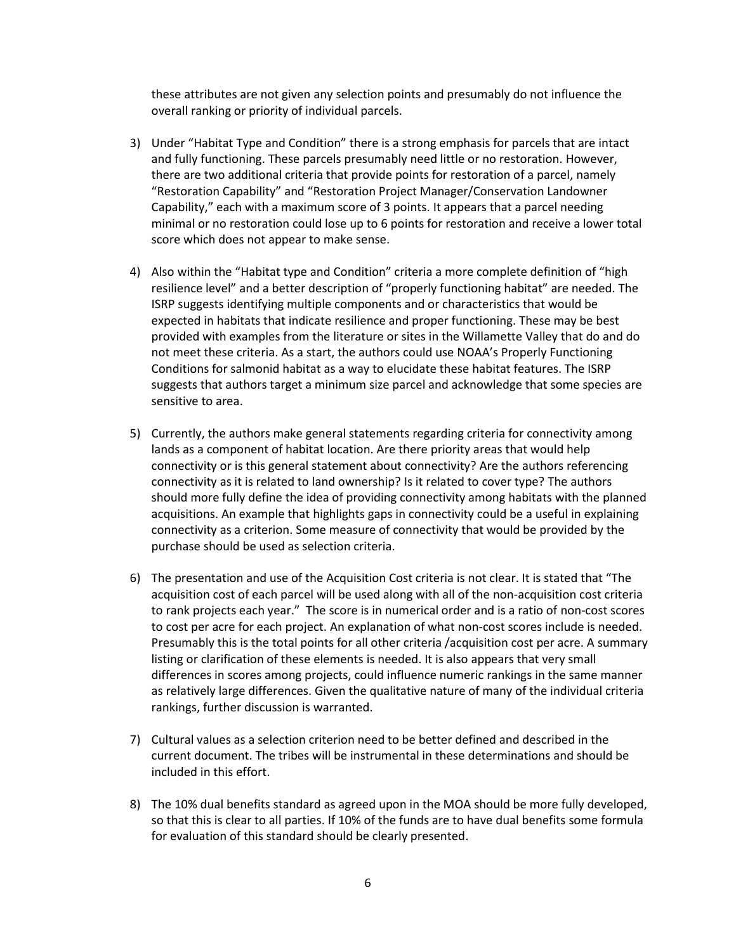these attributes are not given any selection points and presumably do not influence the overall ranking or priority of individual parcels.

- 3) Under "Habitat Type and Condition" there is a strong emphasis for parcels that are intact and fully functioning. These parcels presumably need little or no restoration. However, there are two additional criteria that provide points for restoration of a parcel, namely "Restoration Capability" and "Restoration Project Manager/Conservation Landowner Capability," each with a maximum score of 3 points. It appears that a parcel needing minimal or no restoration could lose up to 6 points for restoration and receive a lower total score which does not appear to make sense.
- 4) Also within the "Habitat type and Condition" criteria a more complete definition of "high resilience level" and a better description of "properly functioning habitat" are needed. The ISRP suggests identifying multiple components and or characteristics that would be expected in habitats that indicate resilience and proper functioning. These may be best provided with examples from the literature or sites in the Willamette Valley that do and do not meet these criteria. As a start, the authors could use NOAA's Properly Functioning Conditions for salmonid habitat as a way to elucidate these habitat features. The ISRP suggests that authors target a minimum size parcel and acknowledge that some species are sensitive to area.
- 5) Currently, the authors make general statements regarding criteria for connectivity among lands as a component of habitat location. Are there priority areas that would help connectivity or is this general statement about connectivity? Are the authors referencing connectivity as it is related to land ownership? Is it related to cover type? The authors should more fully define the idea of providing connectivity among habitats with the planned acquisitions. An example that highlights gaps in connectivity could be a useful in explaining connectivity as a criterion. Some measure of connectivity that would be provided by the purchase should be used as selection criteria.
- 6) The presentation and use of the Acquisition Cost criteria is not clear. It is stated that "The acquisition cost of each parcel will be used along with all of the non-acquisition cost criteria to rank projects each year." The score is in numerical order and is a ratio of non-cost scores to cost per acre for each project. An explanation of what non-cost scores include is needed. Presumably this is the total points for all other criteria /acquisition cost per acre. A summary listing or clarification of these elements is needed. It is also appears that very small differences in scores among projects, could influence numeric rankings in the same manner as relatively large differences. Given the qualitative nature of many of the individual criteria rankings, further discussion is warranted.
- 7) Cultural values as a selection criterion need to be better defined and described in the current document. The tribes will be instrumental in these determinations and should be included in this effort.
- 8) The 10% dual benefits standard as agreed upon in the MOA should be more fully developed, so that this is clear to all parties. If 10% of the funds are to have dual benefits some formula for evaluation of this standard should be clearly presented.